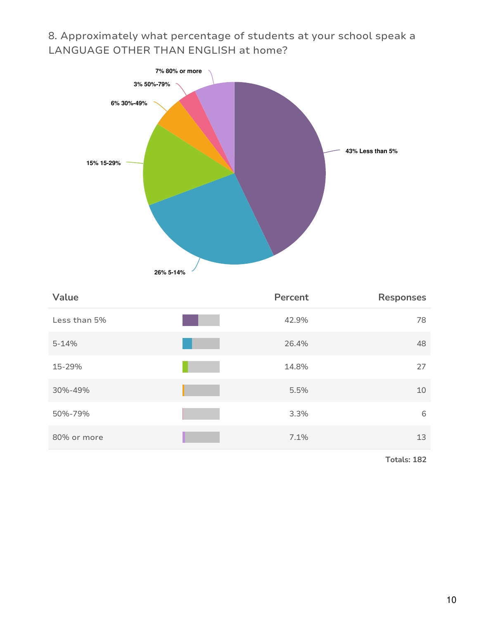## 8. Approximately what percentage of students at your school speak a LANGUAGE OTHER THAN ENGLISH at home?



| Value        | Percent | <b>Responses</b> |
|--------------|---------|------------------|
| Less than 5% | 42.9%   | 78               |
| $5 - 14%$    | 26.4%   | 48               |
| 15-29%       | 14.8%   | 27               |
| 30%-49%      | 5.5%    | 10               |
| 50%-79%      | 3.3%    | 6                |
| 80% or more  | 7.1%    | 13               |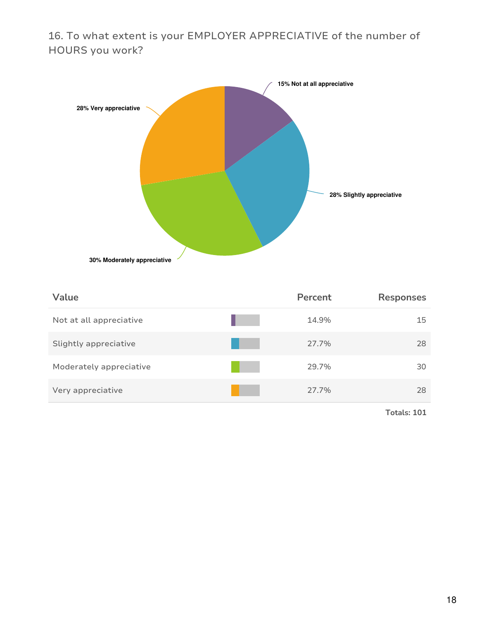16. To what extent is your EMPLOYER APPRECIATIVE of the number of HOURS you work?



| Value                   | Percent | <b>Responses</b> |
|-------------------------|---------|------------------|
| Not at all appreciative | 14.9%   | 15               |
| Slightly appreciative   | 27.7%   | 28               |
| Moderately appreciative | 29.7%   | 30               |
| Very appreciative       | 27.7%   | 28               |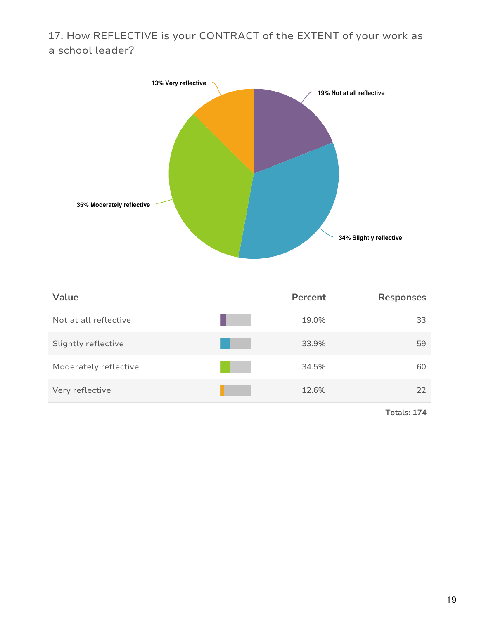## 17. How REFLECTIVE is your CONTRACT of the EXTENT of your work as a school leader?



| Value                 | Percent | <b>Responses</b> |
|-----------------------|---------|------------------|
| Not at all reflective | 19.0%   | 33               |
| Slightly reflective   | 33.9%   | 59               |
| Moderately reflective | 34.5%   | 60               |
| Very reflective       | 12.6%   | 22               |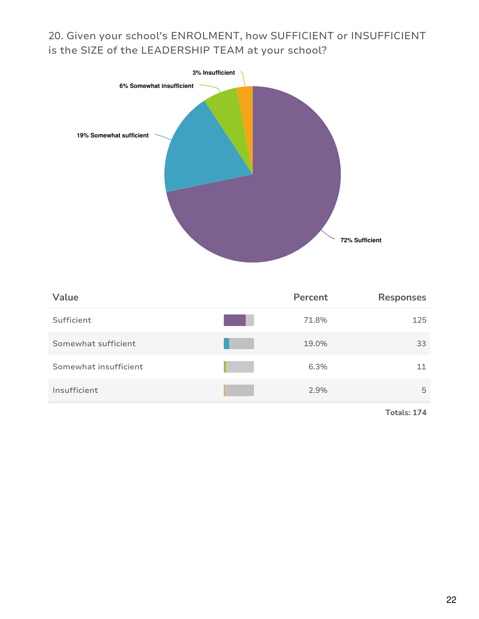20. Given your school's ENROLMENT, how SUFFICIENT or INSUFFICIENT is the SIZE of the LEADERSHIP TEAM at your school?



| Value                 | Percent | <b>Responses</b> |
|-----------------------|---------|------------------|
| Sufficient            | 71.8%   | 125              |
| Somewhat sufficient   | 19.0%   | 33               |
| Somewhat insufficient | 6.3%    | 11               |
| Insufficient          | 2.9%    | 5                |